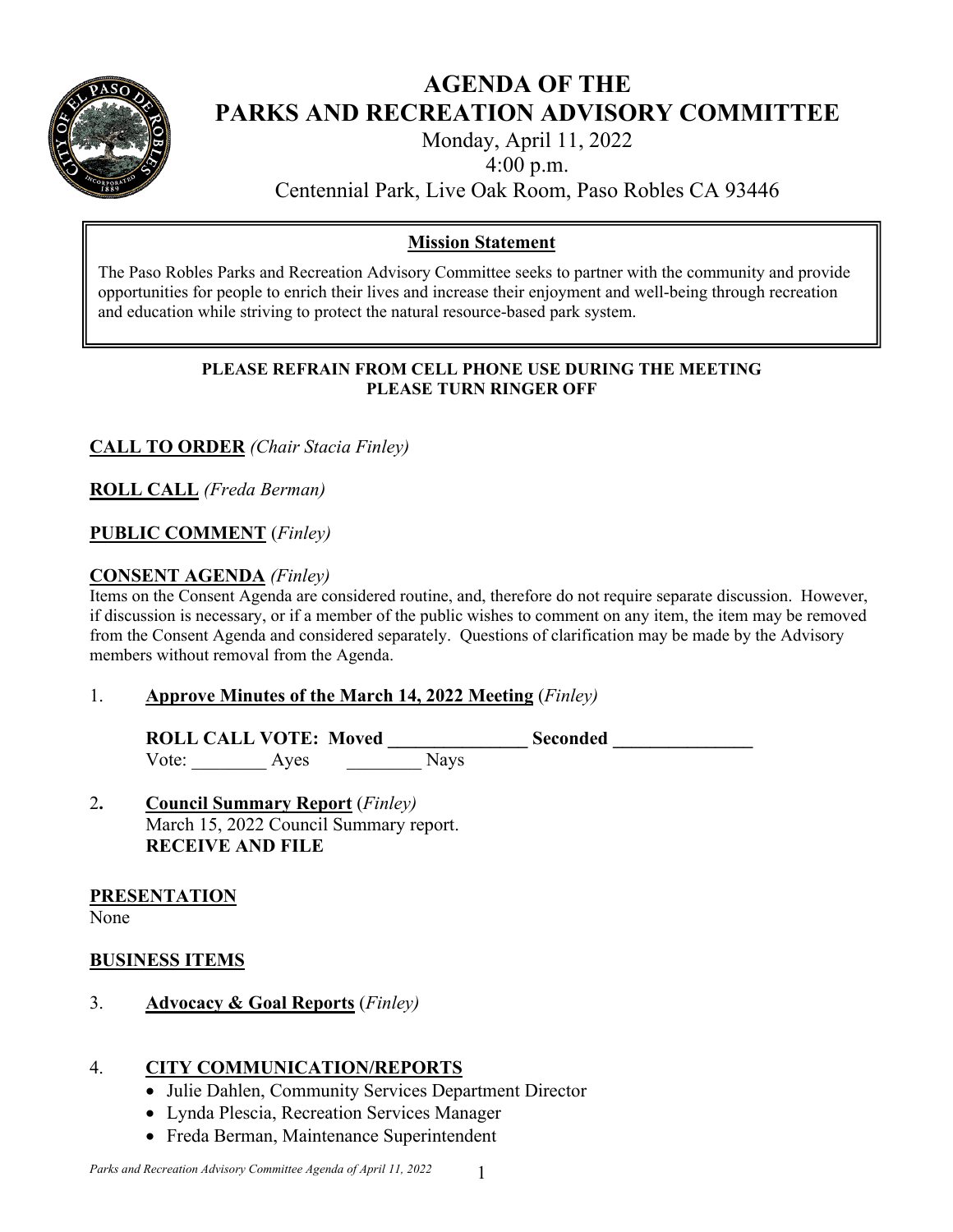

# **AGENDA OF THE PARKS AND RECREATION ADVISORY COMMITTEE**

Monday, April 11, 2022

4:00 p.m.

Centennial Park, Live Oak Room, Paso Robles CA 93446

# **Mission Statement**

The Paso Robles Parks and Recreation Advisory Committee seeks to partner with the community and provide opportunities for people to enrich their lives and increase their enjoyment and well-being through recreation and education while striving to protect the natural resource-based park system.

#### **PLEASE REFRAIN FROM CELL PHONE USE DURING THE MEETING PLEASE TURN RINGER OFF**

# **CALL TO ORDER** *(Chair Stacia Finley)*

**ROLL CALL** *(Freda Berman)* 

## **PUBLIC COMMENT** (*Finley)*

## **CONSENT AGENDA** *(Finley)*

Items on the Consent Agenda are considered routine, and, therefore do not require separate discussion. However, if discussion is necessary, or if a member of the public wishes to comment on any item, the item may be removed from the Consent Agenda and considered separately. Questions of clarification may be made by the Advisory members without removal from the Agenda.

## 1. **Approve Minutes of the March 14, 2022 Meeting** (*Finley)*

ROLL CALL VOTE: Moved Seconded Vote: Ayes Nays

2**. Council Summary Report** (*Finley)* March 15, 2022 Council Summary report. **RECEIVE AND FILE**

## **PRESENTATION**

None

## **BUSINESS ITEMS**

3. **Advocacy & Goal Reports** (*Finley)* 

# 4. **CITY COMMUNICATION/REPORTS**

- Julie Dahlen, Community Services Department Director
- Lynda Plescia, Recreation Services Manager
- Freda Berman, Maintenance Superintendent